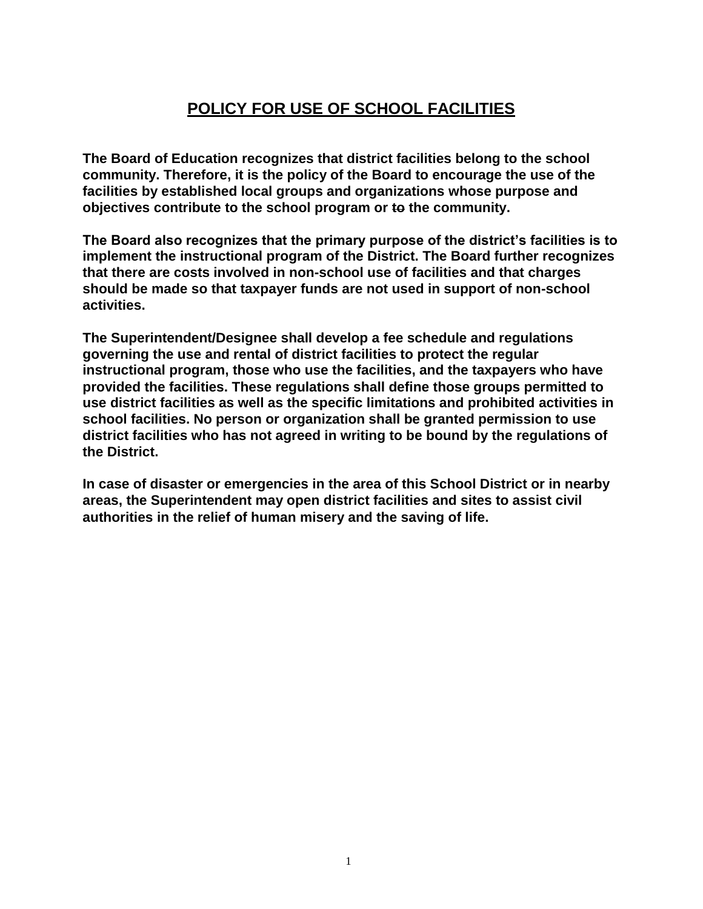# **POLICY FOR USE OF SCHOOL FACILITIES**

**The Board of Education recognizes that district facilities belong to the school community. Therefore, it is the policy of the Board to encourage the use of the facilities by established local groups and organizations whose purpose and objectives contribute to the school program or to the community.**

**The Board also recognizes that the primary purpose of the district's facilities is to implement the instructional program of the District. The Board further recognizes that there are costs involved in non-school use of facilities and that charges should be made so that taxpayer funds are not used in support of non-school activities.**

**The Superintendent/Designee shall develop a fee schedule and regulations governing the use and rental of district facilities to protect the regular instructional program, those who use the facilities, and the taxpayers who have provided the facilities. These regulations shall define those groups permitted to use district facilities as well as the specific limitations and prohibited activities in school facilities. No person or organization shall be granted permission to use district facilities who has not agreed in writing to be bound by the regulations of the District.**

**In case of disaster or emergencies in the area of this School District or in nearby areas, the Superintendent may open district facilities and sites to assist civil authorities in the relief of human misery and the saving of life.**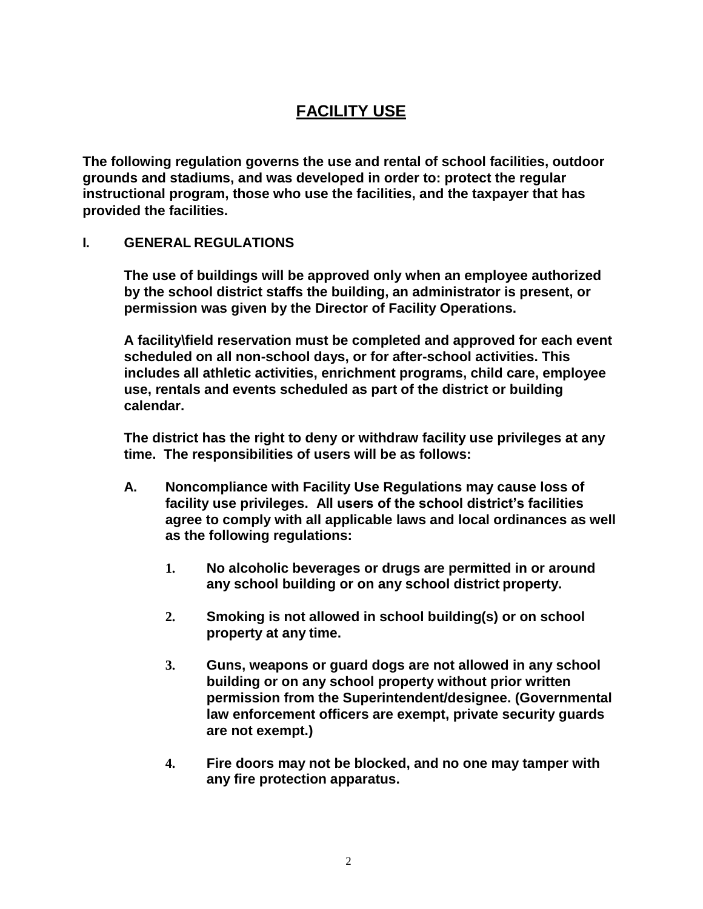# **FACILITY USE**

**The following regulation governs the use and rental of school facilities, outdoor grounds and stadiums, and was developed in order to: protect the regular instructional program, those who use the facilities, and the taxpayer that has provided the facilities.**

### **I. GENERAL REGULATIONS**

**The use of buildings will be approved only when an employee authorized by the school district staffs the building, an administrator is present, or permission was given by the Director of Facility Operations.**

**A facility\field reservation must be completed and approved for each event scheduled on all non-school days, or for after-school activities. This includes all athletic activities, enrichment programs, child care, employee use, rentals and events scheduled as part of the district or building calendar.**

**The district has the right to deny or withdraw facility use privileges at any time. The responsibilities of users will be as follows:**

- **A. Noncompliance with Facility Use Regulations may cause loss of facility use privileges. All users of the school district's facilities agree to comply with all applicable laws and local ordinances as well as the following regulations:**
	- **1. No alcoholic beverages or drugs are permitted in or around any school building or on any school district property.**
	- **2. Smoking is not allowed in school building(s) or on school property at any time.**
	- **3. Guns, weapons or guard dogs are not allowed in any school building or on any school property without prior written permission from the Superintendent/designee. (Governmental law enforcement officers are exempt, private security guards are not exempt.)**
	- **4. Fire doors may not be blocked, and no one may tamper with any fire protection apparatus.**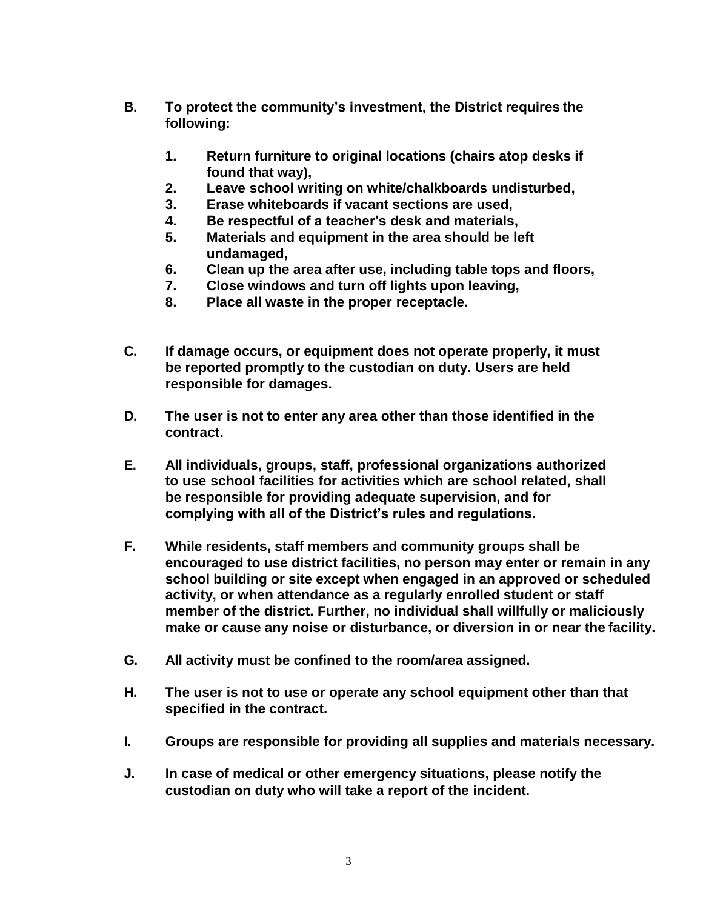- **B. To protect the community's investment, the District requires the following:**
	- **1. Return furniture to original locations (chairs atop desks if found that way),**
	- **2. Leave school writing on white/chalkboards undisturbed,**
	- **3. Erase whiteboards if vacant sections are used,**
	- **4. Be respectful of a teacher's desk and materials,**
	- **5. Materials and equipment in the area should be left undamaged,**
	- **6. Clean up the area after use, including table tops and floors,**
	- **7. Close windows and turn off lights upon leaving,**
	- **8. Place all waste in the proper receptacle.**
- **C. If damage occurs, or equipment does not operate properly, it must be reported promptly to the custodian on duty. Users are held responsible for damages.**
- **D. The user is not to enter any area other than those identified in the contract.**
- **E. All individuals, groups, staff, professional organizations authorized to use school facilities for activities which are school related, shall be responsible for providing adequate supervision, and for complying with all of the District's rules and regulations.**
- **F. While residents, staff members and community groups shall be encouraged to use district facilities, no person may enter or remain in any school building or site except when engaged in an approved or scheduled activity, or when attendance as a regularly enrolled student or staff member of the district. Further, no individual shall willfully or maliciously make or cause any noise or disturbance, or diversion in or near the facility.**
- **G. All activity must be confined to the room/area assigned.**
- **H. The user is not to use or operate any school equipment other than that specified in the contract.**
- **I. Groups are responsible for providing all supplies and materials necessary.**
- **J. In case of medical or other emergency situations, please notify the custodian on duty who will take a report of the incident.**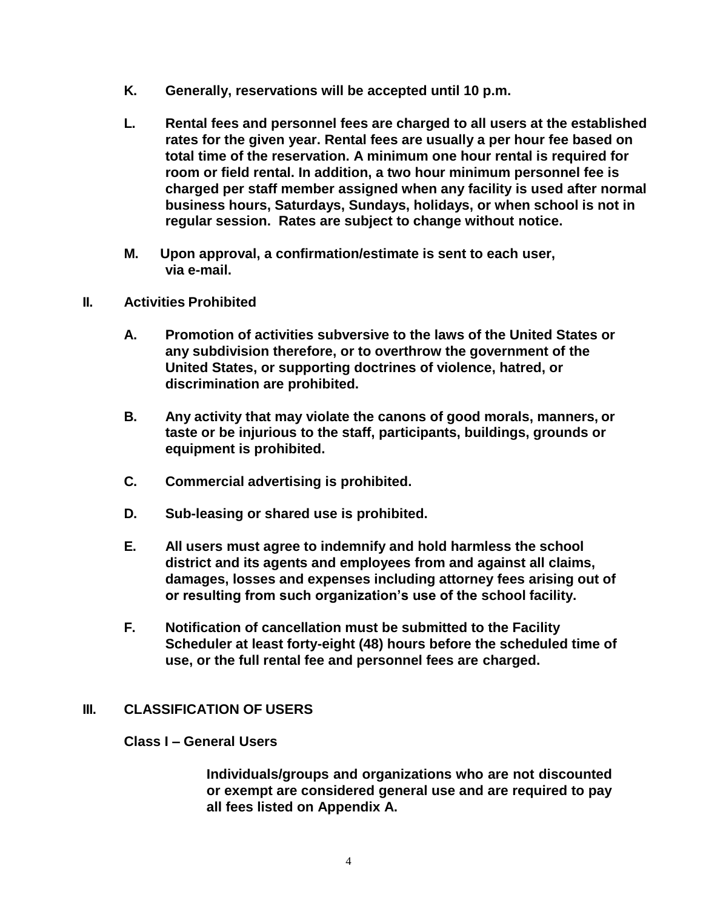- **K. Generally, reservations will be accepted until 10 p.m.**
- **L. Rental fees and personnel fees are charged to all users at the established rates for the given year. Rental fees are usually a per hour fee based on total time of the reservation. A minimum one hour rental is required for room or field rental. In addition, a two hour minimum personnel fee is charged per staff member assigned when any facility is used after normal business hours, Saturdays, Sundays, holidays, or when school is not in regular session. Rates are subject to change without notice.**
- **M. Upon approval, a confirmation/estimate is sent to each user, via e-mail.**
- **II. Activities Prohibited**
	- **A. Promotion of activities subversive to the laws of the United States or any subdivision therefore, or to overthrow the government of the United States, or supporting doctrines of violence, hatred, or discrimination are prohibited.**
	- **B. Any activity that may violate the canons of good morals, manners, or taste or be injurious to the staff, participants, buildings, grounds or equipment is prohibited.**
	- **C. Commercial advertising is prohibited.**
	- **D. Sub-leasing or shared use is prohibited.**
	- **E. All users must agree to indemnify and hold harmless the school district and its agents and employees from and against all claims, damages, losses and expenses including attorney fees arising out of or resulting from such organization's use of the school facility.**
	- **F. Notification of cancellation must be submitted to the Facility Scheduler at least forty-eight (48) hours before the scheduled time of use, or the full rental fee and personnel fees are charged.**

### **III. CLASSIFICATION OF USERS**

### **Class I – General Users**

**Individuals/groups and organizations who are not discounted or exempt are considered general use and are required to pay all fees listed on Appendix A.**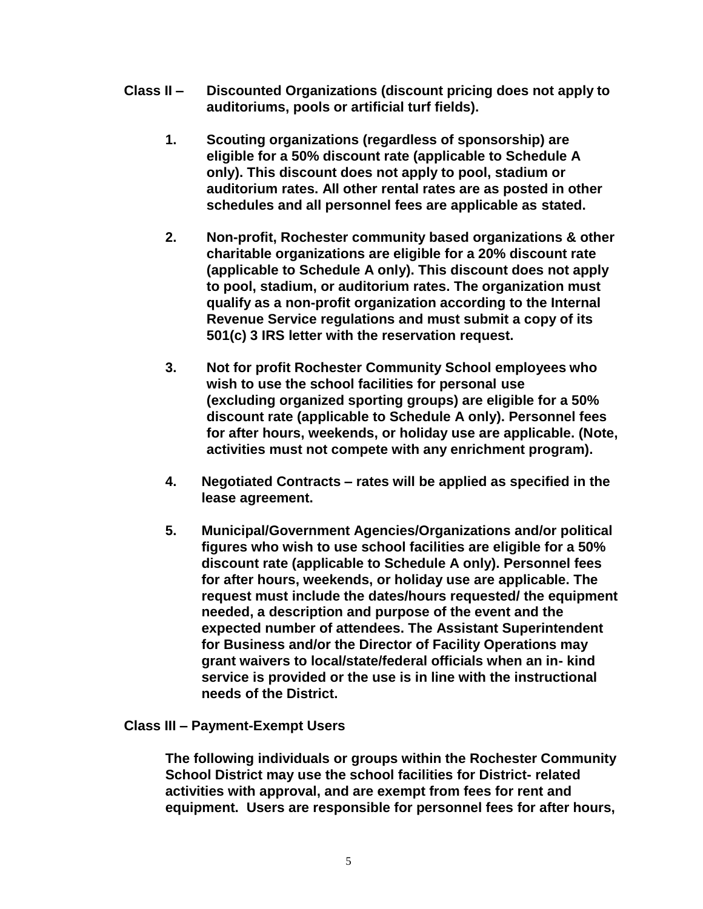- **Class II – Discounted Organizations (discount pricing does not apply to auditoriums, pools or artificial turf fields).**
	- **1. Scouting organizations (regardless of sponsorship) are eligible for a 50% discount rate (applicable to Schedule A only). This discount does not apply to pool, stadium or auditorium rates. All other rental rates are as posted in other schedules and all personnel fees are applicable as stated.**
	- **2. Non-profit, Rochester community based organizations & other charitable organizations are eligible for a 20% discount rate (applicable to Schedule A only). This discount does not apply to pool, stadium, or auditorium rates. The organization must qualify as a non-profit organization according to the Internal Revenue Service regulations and must submit a copy of its 501(c) 3 IRS letter with the reservation request.**
	- **3. Not for profit Rochester Community School employees who wish to use the school facilities for personal use (excluding organized sporting groups) are eligible for a 50% discount rate (applicable to Schedule A only). Personnel fees for after hours, weekends, or holiday use are applicable. (Note, activities must not compete with any enrichment program).**
	- **4. Negotiated Contracts – rates will be applied as specified in the lease agreement.**
	- **5. Municipal/Government Agencies/Organizations and/or political figures who wish to use school facilities are eligible for a 50% discount rate (applicable to Schedule A only). Personnel fees for after hours, weekends, or holiday use are applicable. The request must include the dates/hours requested/ the equipment needed, a description and purpose of the event and the expected number of attendees. The Assistant Superintendent for Business and/or the Director of Facility Operations may grant waivers to local/state/federal officials when an in- kind service is provided or the use is in line with the instructional needs of the District.**

### **Class III – Payment-Exempt Users**

**The following individuals or groups within the Rochester Community School District may use the school facilities for District- related activities with approval, and are exempt from fees for rent and equipment. Users are responsible for personnel fees for after hours,**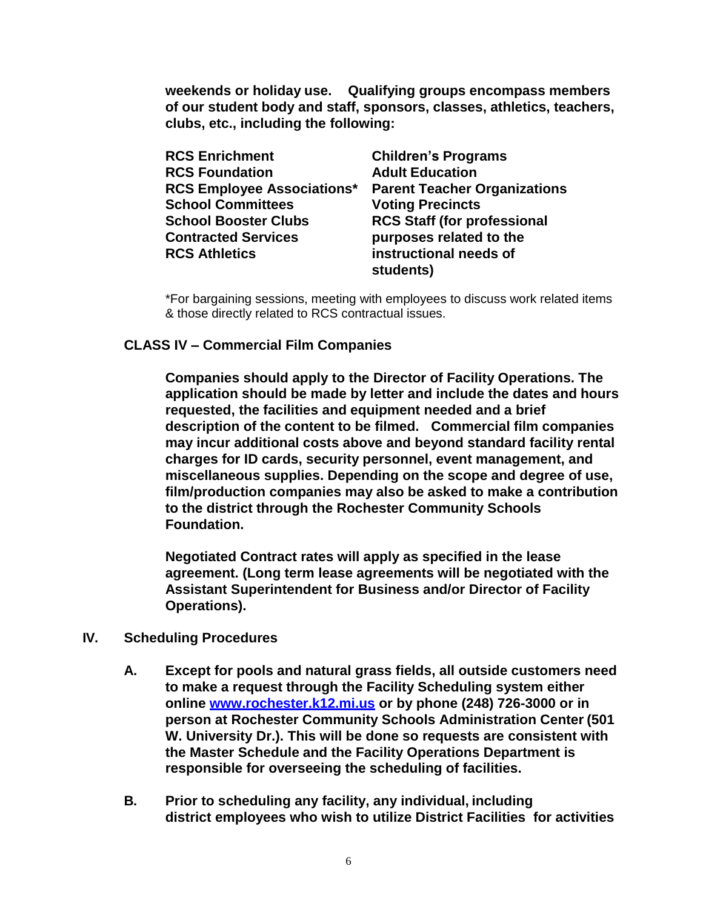**weekends or holiday use. Qualifying groups encompass members of our student body and staff, sponsors, classes, athletics, teachers, clubs, etc., including the following:**

| <b>RCS Enrichment</b>             | <b>Children's Programs</b>          |
|-----------------------------------|-------------------------------------|
| <b>RCS Foundation</b>             | <b>Adult Education</b>              |
| <b>RCS Employee Associations*</b> | <b>Parent Teacher Organizations</b> |
| <b>School Committees</b>          | <b>Voting Precincts</b>             |
| <b>School Booster Clubs</b>       | <b>RCS Staff (for professional</b>  |
| <b>Contracted Services</b>        | purposes related to the             |
| <b>RCS Athletics</b>              | instructional needs of              |
|                                   | students)                           |

\*For bargaining sessions, meeting with employees to discuss work related items & those directly related to RCS contractual issues.

### **CLASS IV – Commercial Film Companies**

**Companies should apply to the Director of Facility Operations. The application should be made by letter and include the dates and hours requested, the facilities and equipment needed and a brief description of the content to be filmed. Commercial film companies may incur additional costs above and beyond standard facility rental charges for ID cards, security personnel, event management, and miscellaneous supplies. Depending on the scope and degree of use, film/production companies may also be asked to make a contribution to the district through the Rochester Community Schools Foundation.**

**Negotiated Contract rates will apply as specified in the lease agreement. (Long term lease agreements will be negotiated with the Assistant Superintendent for Business and/or Director of Facility Operations).**

- **IV. Scheduling Procedures**
	- **A. Except for pools and natural grass fields, all outside customers need to make a request through the Facility Scheduling system either online [www.rochester.k12.mi.us](http://www.rochester.k12.mi.us/) or by phone (248) 726-3000 or in person at Rochester Community Schools Administration Center (501 W. University Dr.). This will be done so requests are consistent with the Master Schedule and the Facility Operations Department is responsible for overseeing the scheduling of facilities.**
	- **B. Prior to scheduling any facility, any individual, including district employees who wish to utilize District Facilities for activities**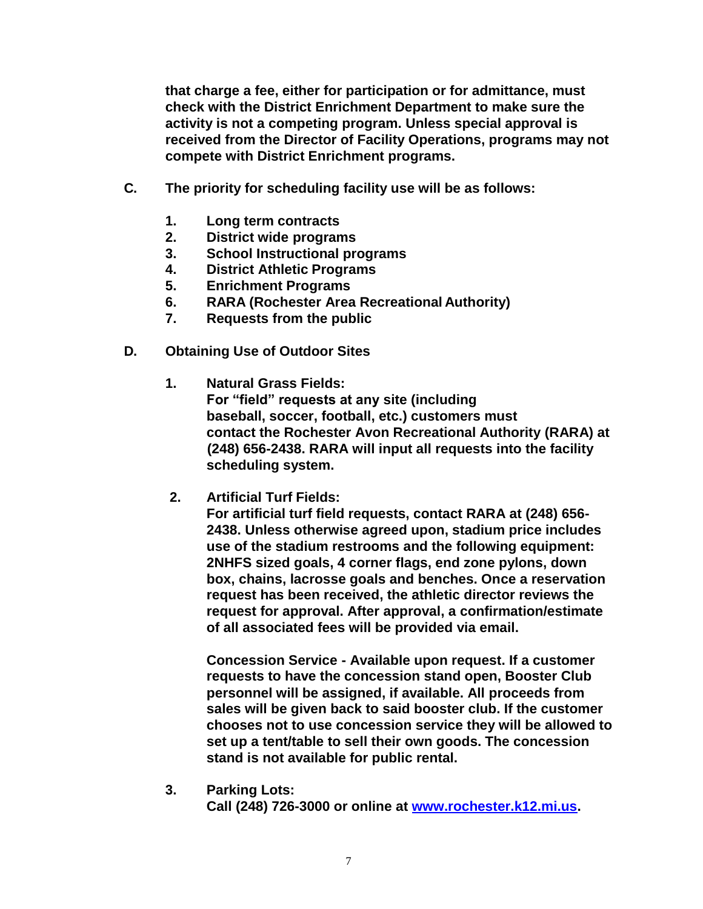**that charge a fee, either for participation or for admittance, must check with the District Enrichment Department to make sure the activity is not a competing program. Unless special approval is received from the Director of Facility Operations, programs may not compete with District Enrichment programs.**

- **C. The priority for scheduling facility use will be as follows:**
	- **1. Long term contracts**
	- **2. District wide programs**
	- **3. School Instructional programs**
	- **4. District Athletic Programs**
	- **5. Enrichment Programs**
	- **6. RARA (Rochester Area Recreational Authority)**
	- **7. Requests from the public**
- **D. Obtaining Use of Outdoor Sites**
	- **1. Natural Grass Fields: For "field" requests at any site (including baseball, soccer, football, etc.) customers must contact the Rochester Avon Recreational Authority (RARA) at (248) 656-2438. RARA will input all requests into the facility scheduling system.**
	- **2. Artificial Turf Fields:**

**For artificial turf field requests, contact RARA at (248) 656- 2438. Unless otherwise agreed upon, stadium price includes use of the stadium restrooms and the following equipment: 2NHFS sized goals, 4 corner flags, end zone pylons, down box, chains, lacrosse goals and benches. Once a reservation request has been received, the athletic director reviews the request for approval. After approval, a confirmation/estimate of all associated fees will be provided via email.**

**Concession Service - Available upon request. If a customer requests to have the concession stand open, Booster Club personnel will be assigned, if available. All proceeds from sales will be given back to said booster club. If the customer chooses not to use concession service they will be allowed to set up a tent/table to sell their own goods. The concession stand is not available for public rental.**

**3. Parking Lots: Call (248) 726-3000 or online at [www.rochester.k12.mi.us.](http://www.rochester.k12.mi.us/)**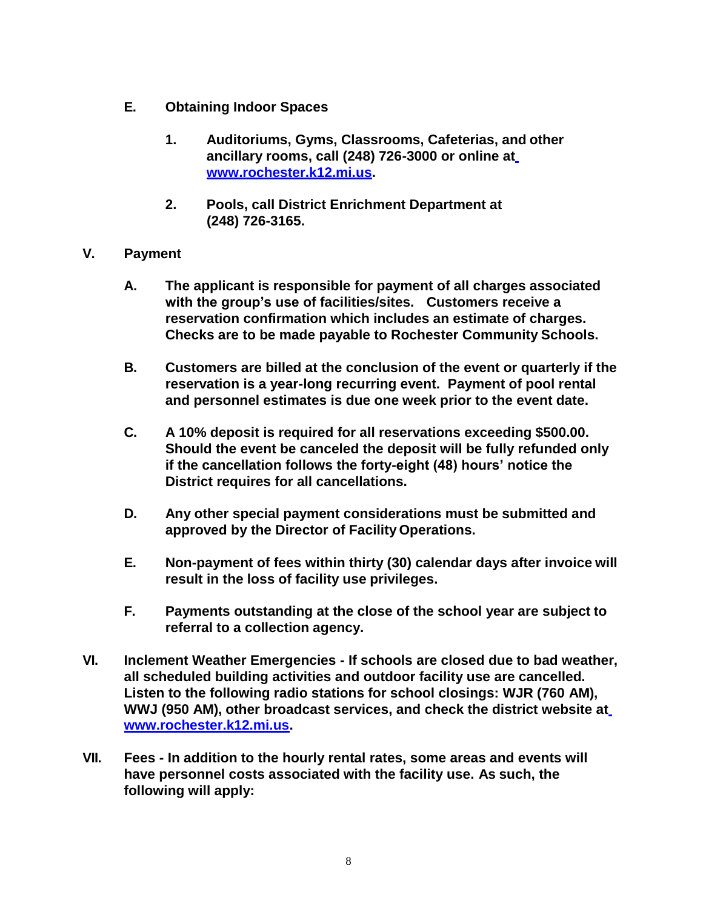- **E. Obtaining Indoor Spaces**
	- **1. Auditoriums, Gyms, Classrooms, Cafeterias, and other ancillary rooms, call (248) 726-3000 or online a[t](http://www.rochester.k12.mi.us/) [www.rochester.k12.mi.us.](http://www.rochester.k12.mi.us/)**
	- **2. Pools, call District Enrichment Department at (248) 726-3165.**
- **V. Payment**
	- **A. The applicant is responsible for payment of all charges associated with the group's use of facilities/sites. Customers receive a reservation confirmation which includes an estimate of charges. Checks are to be made payable to Rochester Community Schools.**
	- **B. Customers are billed at the conclusion of the event or quarterly if the reservation is a year-long recurring event. Payment of pool rental and personnel estimates is due one week prior to the event date.**
	- **C. A 10% deposit is required for all reservations exceeding \$500.00. Should the event be canceled the deposit will be fully refunded only if the cancellation follows the forty-eight (48) hours' notice the District requires for all cancellations.**
	- **D. Any other special payment considerations must be submitted and approved by the Director of Facility Operations.**
	- **E. Non-payment of fees within thirty (30) calendar days after invoice will result in the loss of facility use privileges.**
	- **F. Payments outstanding at the close of the school year are subject to referral to a collection agency.**
- **VI. Inclement Weather Emergencies - If schools are closed due to bad weather, all scheduled building activities and outdoor facility use are cancelled. Listen to the following radio stations for school closings: WJR (760 AM), WWJ (950 AM), other broadcast services, and check the district website a[t](http://www.rochester.k12.mi.us/) [www.rochester.k12.mi.us.](http://www.rochester.k12.mi.us/)**
- **VII. Fees - In addition to the hourly rental rates, some areas and events will have personnel costs associated with the facility use. As such, the following will apply:**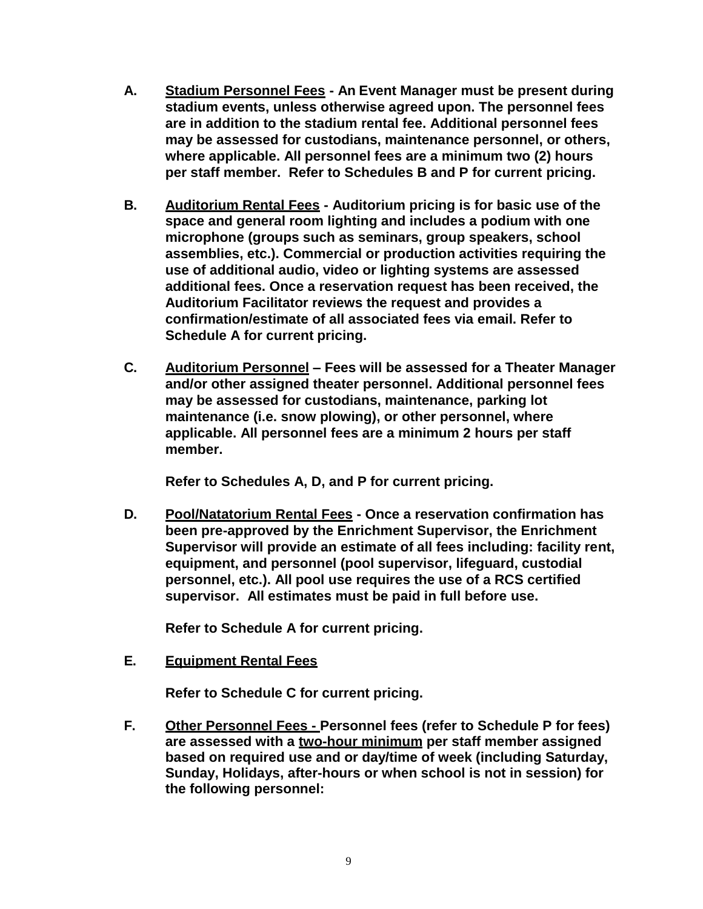- **A. Stadium Personnel Fees - An Event Manager must be present during stadium events, unless otherwise agreed upon. The personnel fees are in addition to the stadium rental fee. Additional personnel fees may be assessed for custodians, maintenance personnel, or others, where applicable. All personnel fees are a minimum two (2) hours per staff member. Refer to Schedules B and P for current pricing.**
- **B. Auditorium Rental Fees - Auditorium pricing is for basic use of the space and general room lighting and includes a podium with one microphone (groups such as seminars, group speakers, school assemblies, etc.). Commercial or production activities requiring the use of additional audio, video or lighting systems are assessed additional fees. Once a reservation request has been received, the Auditorium Facilitator reviews the request and provides a confirmation/estimate of all associated fees via email. Refer to Schedule A for current pricing.**
- **C. Auditorium Personnel – Fees will be assessed for a Theater Manager and/or other assigned theater personnel. Additional personnel fees may be assessed for custodians, maintenance, parking lot maintenance (i.e. snow plowing), or other personnel, where applicable. All personnel fees are a minimum 2 hours per staff member.**

**Refer to Schedules A, D, and P for current pricing.**

**D. Pool/Natatorium Rental Fees - Once a reservation confirmation has been pre-approved by the Enrichment Supervisor, the Enrichment Supervisor will provide an estimate of all fees including: facility rent, equipment, and personnel (pool supervisor, lifeguard, custodial personnel, etc.). All pool use requires the use of a RCS certified supervisor. All estimates must be paid in full before use.**

**Refer to Schedule A for current pricing.**

**E. Equipment Rental Fees**

**Refer to Schedule C for current pricing.**

**F. Other Personnel Fees - Personnel fees (refer to Schedule P for fees) are assessed with a two-hour minimum per staff member assigned based on required use and or day/time of week (including Saturday, Sunday, Holidays, after-hours or when school is not in session) for the following personnel:**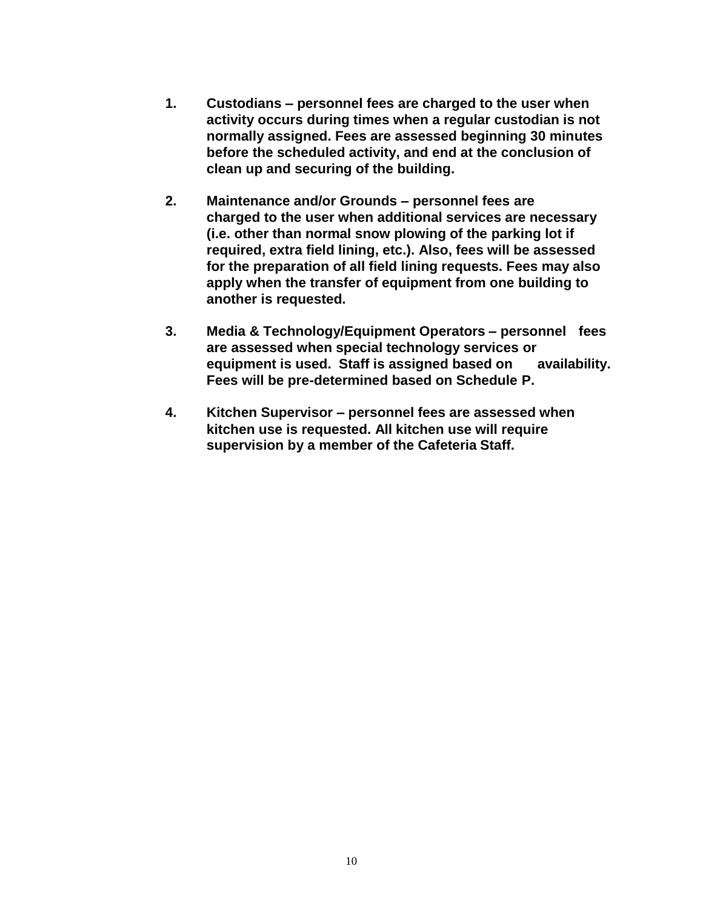- **1. Custodians – personnel fees are charged to the user when activity occurs during times when a regular custodian is not normally assigned. Fees are assessed beginning 30 minutes before the scheduled activity, and end at the conclusion of clean up and securing of the building.**
- **2. Maintenance and/or Grounds – personnel fees are charged to the user when additional services are necessary (i.e. other than normal snow plowing of the parking lot if required, extra field lining, etc.). Also, fees will be assessed for the preparation of all field lining requests. Fees may also apply when the transfer of equipment from one building to another is requested.**
- **3. Media & Technology/Equipment Operators – personnel fees are assessed when special technology services or equipment is used. Staff is assigned based on availability. Fees will be pre-determined based on Schedule P.**
- **4. Kitchen Supervisor – personnel fees are assessed when kitchen use is requested. All kitchen use will require supervision by a member of the Cafeteria Staff.**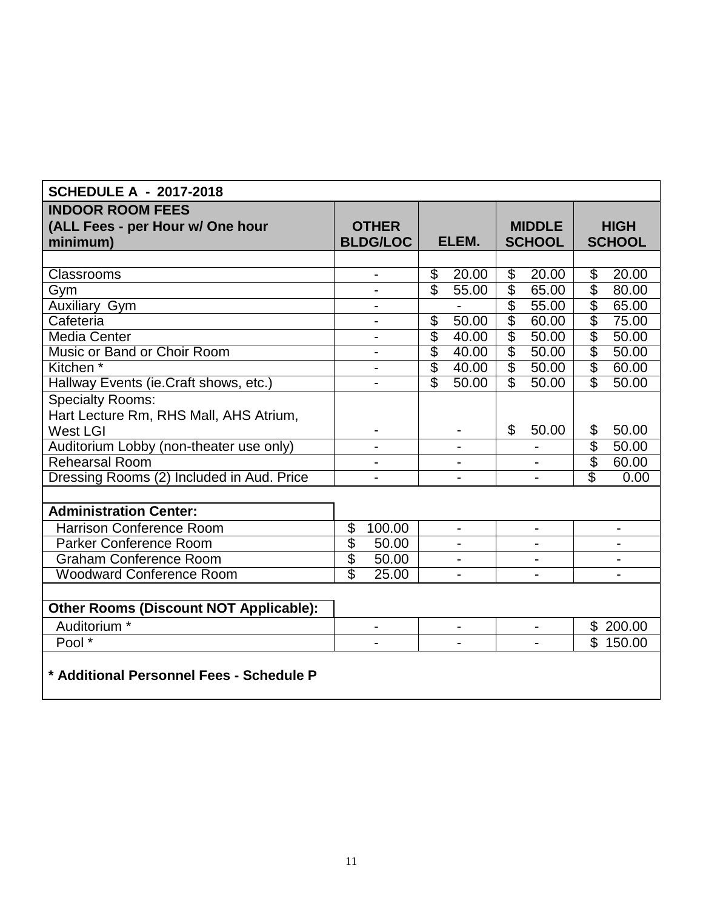| <b>SCHEDULE A - 2017-2018</b>                 |                                  |                                               |                          |                          |                                |                |  |
|-----------------------------------------------|----------------------------------|-----------------------------------------------|--------------------------|--------------------------|--------------------------------|----------------|--|
| <b>INDOOR ROOM FEES</b>                       |                                  |                                               |                          |                          |                                |                |  |
| (ALL Fees - per Hour w/ One hour              | <b>OTHER</b>                     |                                               |                          | <b>MIDDLE</b>            |                                | <b>HIGH</b>    |  |
| minimum)                                      | <b>BLDG/LOC</b>                  | ELEM.                                         |                          | <b>SCHOOL</b>            |                                | <b>SCHOOL</b>  |  |
|                                               |                                  |                                               |                          |                          |                                |                |  |
| Classrooms                                    | $\overline{\phantom{a}}$         | $\overline{\mathcal{G}}$<br>20.00             | $\overline{\mathcal{G}}$ | 20.00                    | $\overline{\mathcal{G}}$       | 20.00          |  |
| Gym                                           |                                  | $\overline{\mathcal{S}}$<br>$\frac{1}{55.00}$ | $\overline{\$}$          | 65.00                    | $\overline{\mathcal{S}}$       | 80.00          |  |
| <b>Auxiliary Gym</b>                          | $\blacksquare$                   |                                               | $\overline{\mathcal{S}}$ | 55.00                    | $\overline{\mathbb{S}}$        | 65.00          |  |
| Cafeteria                                     | $\overline{\phantom{a}}$         | $\overline{\mathcal{G}}$<br>50.00             | $\overline{\mathcal{E}}$ | 60.00                    | $\overline{\mathcal{S}}$       | 75.00          |  |
| Media Center                                  | $\overline{\phantom{a}}$         | $\overline{\$}$<br>40.00                      | $\overline{\$}$          | 50.00                    | $\overline{\mathcal{E}}$       | 50.00          |  |
| Music or Band or Choir Room                   |                                  | $\overline{\$}$<br>40.00                      | $\overline{\mathcal{E}}$ | 50.00                    | $rac{6}{3}$                    | 50.00          |  |
| Kitchen <sup>*</sup>                          | $\overline{a}$                   | $\overline{\$}$<br>40.00                      |                          | $\overline{\$}$<br>50.00 |                                | 60.00          |  |
| Hallway Events (ie.Craft shows, etc.)         | $\overline{\phantom{a}}$         | $\overline{\mathcal{S}}$<br>50.00             | $\overline{\mathbb{S}}$  | 50.00                    | $\overline{\mathbb{S}}$        | 50.00          |  |
| <b>Specialty Rooms:</b>                       |                                  |                                               |                          |                          |                                |                |  |
| Hart Lecture Rm, RHS Mall, AHS Atrium,        |                                  |                                               |                          |                          |                                |                |  |
| <b>West LGI</b>                               |                                  |                                               | \$                       | 50.00                    | \$<br>$\overline{\mathcal{S}}$ | 50.00          |  |
| Auditorium Lobby (non-theater use only)       |                                  |                                               |                          |                          |                                | 50.00          |  |
| <b>Rehearsal Room</b>                         |                                  |                                               |                          |                          |                                | 60.00          |  |
| Dressing Rooms (2) Included in Aud. Price     |                                  |                                               |                          |                          | $\overline{\mathcal{E}}$       | 0.00           |  |
|                                               |                                  |                                               |                          |                          |                                |                |  |
| <b>Administration Center:</b>                 |                                  |                                               |                          |                          |                                |                |  |
| <b>Harrison Conference Room</b>               | 100.00<br>\$                     | $\blacksquare$                                |                          | $\overline{\phantom{0}}$ |                                | $\blacksquare$ |  |
| Parker Conference Room                        | $\overline{\$}$<br>50.00         |                                               |                          |                          |                                |                |  |
| <b>Graham Conference Room</b>                 | \$<br>50.00                      |                                               |                          |                          |                                |                |  |
| <b>Woodward Conference Room</b>               | $\overline{\mathbb{S}}$<br>25.00 | $\overline{\phantom{a}}$                      |                          |                          |                                |                |  |
|                                               |                                  |                                               |                          |                          |                                |                |  |
| <b>Other Rooms (Discount NOT Applicable):</b> |                                  |                                               |                          |                          |                                |                |  |
| Auditorium <sup>*</sup>                       | $\blacksquare$                   | $\overline{\phantom{0}}$                      |                          |                          |                                | \$200.00       |  |
| Pool *                                        |                                  |                                               |                          |                          |                                | \$150.00       |  |
|                                               |                                  |                                               |                          |                          |                                |                |  |
| * Additional Personnel Fees - Schedule P      |                                  |                                               |                          |                          |                                |                |  |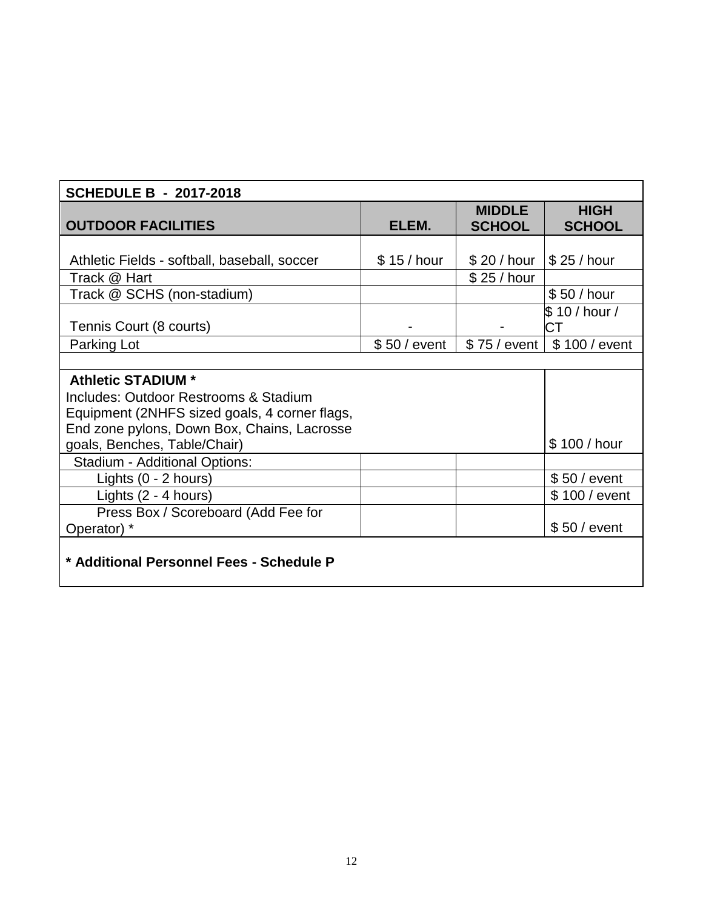| <b>SCHEDULE B - 2017-2018</b>                 |              |                                |                              |  |  |
|-----------------------------------------------|--------------|--------------------------------|------------------------------|--|--|
| <b>OUTDOOR FACILITIES</b>                     | ELEM.        | <b>MIDDLE</b><br><b>SCHOOL</b> | <b>HIGH</b><br><b>SCHOOL</b> |  |  |
|                                               |              |                                |                              |  |  |
| Athletic Fields - softball, baseball, soccer  | \$15/hour    | \$20/hour                      | \$25/hour                    |  |  |
| Track @ Hart                                  |              | \$25/hour                      |                              |  |  |
| Track @ SCHS (non-stadium)                    |              |                                | \$50 / hour                  |  |  |
|                                               |              |                                | \$ 10 / hour /               |  |  |
| Tennis Court (8 courts)                       |              |                                | СT                           |  |  |
| Parking Lot                                   | $$50/$ event | \$75 / event                   | \$100 / event                |  |  |
|                                               |              |                                |                              |  |  |
| <b>Athletic STADIUM *</b>                     |              |                                |                              |  |  |
| Includes: Outdoor Restrooms & Stadium         |              |                                |                              |  |  |
| Equipment (2NHFS sized goals, 4 corner flags, |              |                                |                              |  |  |
| End zone pylons, Down Box, Chains, Lacrosse   |              |                                |                              |  |  |
| goals, Benches, Table/Chair)                  |              |                                | \$100 / hour                 |  |  |
| <b>Stadium - Additional Options:</b>          |              |                                |                              |  |  |
| Lights $(0 - 2$ hours)                        |              |                                | $$50/$ event                 |  |  |
| Lights $(2 - 4$ hours)                        |              |                                | \$100 / event                |  |  |
| Press Box / Scoreboard (Add Fee for           |              |                                |                              |  |  |
| Operator) *                                   |              |                                | $$50/$ event                 |  |  |
| * Additional Personnel Fees - Schedule P      |              |                                |                              |  |  |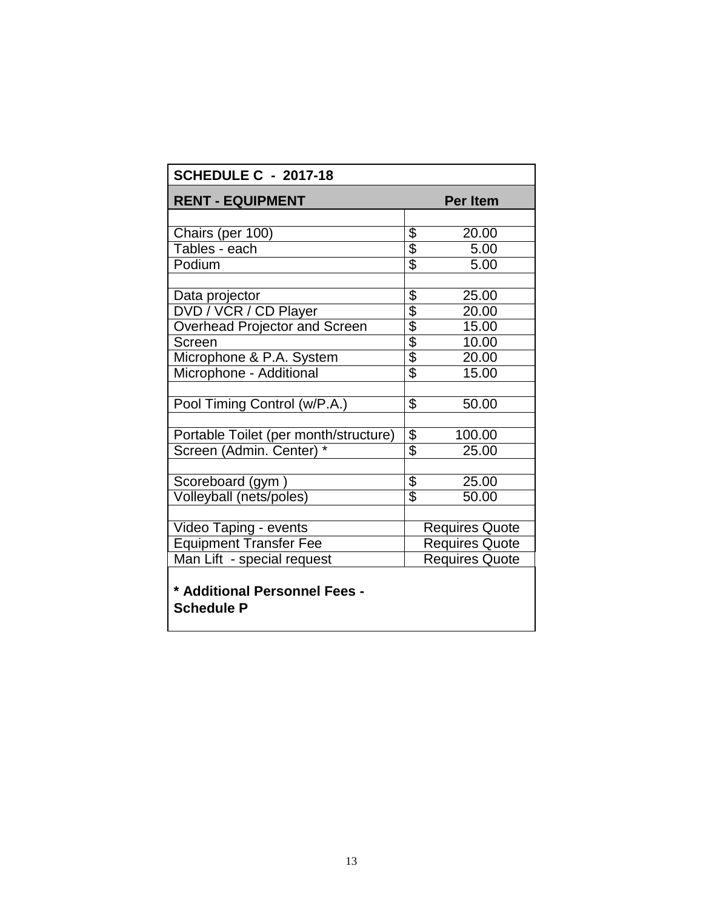| <b>SCHEDULE C - 2017-18</b>                        |                            |                       |  |  |  |
|----------------------------------------------------|----------------------------|-----------------------|--|--|--|
| <b>RENT - EQUIPMENT</b><br><b>Per Item</b>         |                            |                       |  |  |  |
|                                                    |                            |                       |  |  |  |
| Chairs (per 100)                                   |                            | 20.00                 |  |  |  |
| Tables - each                                      | \$<br>\$                   | 5.00                  |  |  |  |
| Podium                                             |                            | 5.00                  |  |  |  |
|                                                    |                            |                       |  |  |  |
| Data projector                                     |                            | 25.00                 |  |  |  |
| DVD / VCR / CD Player                              | <u> 1900 1999</u>          | 20.00                 |  |  |  |
| Overhead Projector and Screen                      |                            | 15.00                 |  |  |  |
| Screen                                             |                            | 10.00                 |  |  |  |
| Microphone & P.A. System                           |                            | 20.00                 |  |  |  |
| Microphone - Additional                            |                            | 15.00                 |  |  |  |
|                                                    |                            |                       |  |  |  |
| Pool Timing Control (w/P.A.)                       | $\overline{\$}$            | 50.00                 |  |  |  |
|                                                    |                            |                       |  |  |  |
| Portable Toilet (per month/structure)              | $\frac{6}{9}$              | 100.00                |  |  |  |
| Screen (Admin. Center)                             |                            | 25.00                 |  |  |  |
|                                                    |                            |                       |  |  |  |
| Scoreboard (gym)                                   | \$                         | 25.00                 |  |  |  |
| Volleyball (nets/poles)                            | $\overline{\overline{\$}}$ | 50.00                 |  |  |  |
|                                                    |                            |                       |  |  |  |
| Video Taping - events                              |                            | Requires Quote        |  |  |  |
| <b>Equipment Transfer Fee</b>                      |                            | <b>Requires Quote</b> |  |  |  |
| Man Lift - special request                         |                            | <b>Requires Quote</b> |  |  |  |
| * Additional Personnel Fees -<br><b>Schedule P</b> |                            |                       |  |  |  |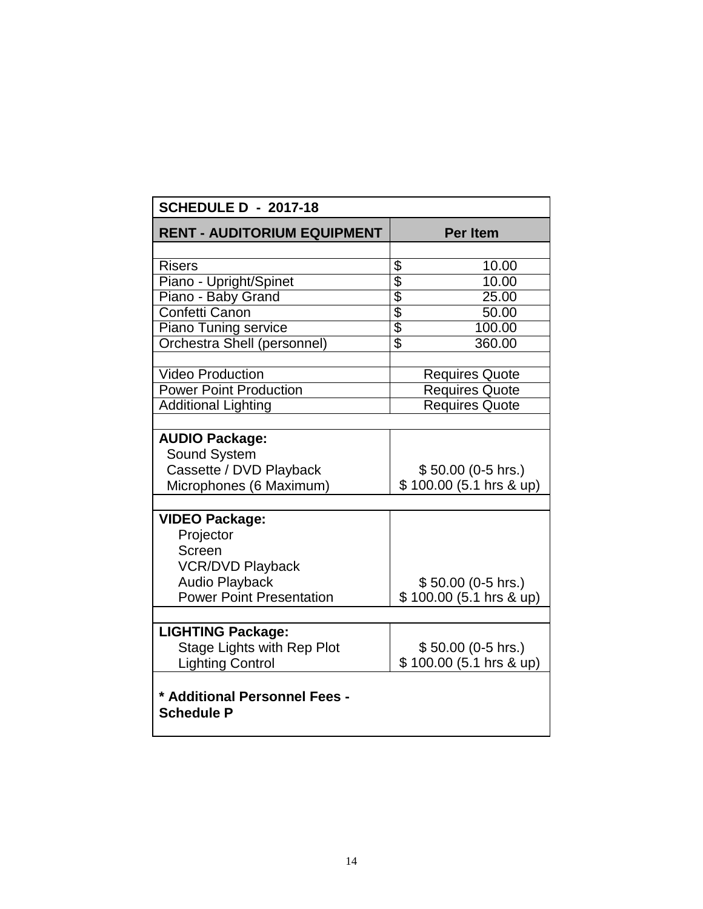| <b>SCHEDULE D - 2017-18</b>                        |                           |  |  |  |
|----------------------------------------------------|---------------------------|--|--|--|
| <b>RENT - AUDITORIUM EQUIPMENT</b>                 | <b>Per Item</b>           |  |  |  |
|                                                    |                           |  |  |  |
| <b>Risers</b>                                      | 10.00                     |  |  |  |
| Piano - Upright/Spinet                             | $\frac{1}{2}$<br>10.00    |  |  |  |
| Piano - Baby Grand                                 | 25.00                     |  |  |  |
| Confetti Canon                                     | 50.00                     |  |  |  |
| <b>Piano Tuning service</b>                        | 100.00                    |  |  |  |
| Orchestra Shell (personnel)                        | $\overline{\$}$<br>360.00 |  |  |  |
|                                                    |                           |  |  |  |
| <b>Video Production</b>                            | <b>Requires Quote</b>     |  |  |  |
| <b>Power Point Production</b>                      | <b>Requires Quote</b>     |  |  |  |
| <b>Additional Lighting</b>                         | <b>Requires Quote</b>     |  |  |  |
|                                                    |                           |  |  |  |
| <b>AUDIO Package:</b>                              |                           |  |  |  |
| <b>Sound System</b>                                |                           |  |  |  |
| Cassette / DVD Playback                            | $$50.00(0-5)$ hrs.)       |  |  |  |
| Microphones (6 Maximum)                            | \$100.00 (5.1 hrs & up)   |  |  |  |
|                                                    |                           |  |  |  |
| <b>VIDEO Package:</b>                              |                           |  |  |  |
| Projector                                          |                           |  |  |  |
| Screen                                             |                           |  |  |  |
| <b>VCR/DVD Playback</b>                            |                           |  |  |  |
| <b>Audio Playback</b>                              | \$50.00 (0-5 hrs.)        |  |  |  |
| <b>Power Point Presentation</b>                    | $$100.00(5.1)$ hrs & up)  |  |  |  |
|                                                    |                           |  |  |  |
| <b>LIGHTING Package:</b>                           |                           |  |  |  |
| <b>Stage Lights with Rep Plot</b>                  | \$50.00 (0-5 hrs.)        |  |  |  |
| <b>Lighting Control</b>                            | \$100.00 (5.1 hrs & up)   |  |  |  |
| * Additional Personnel Fees -<br><b>Schedule P</b> |                           |  |  |  |